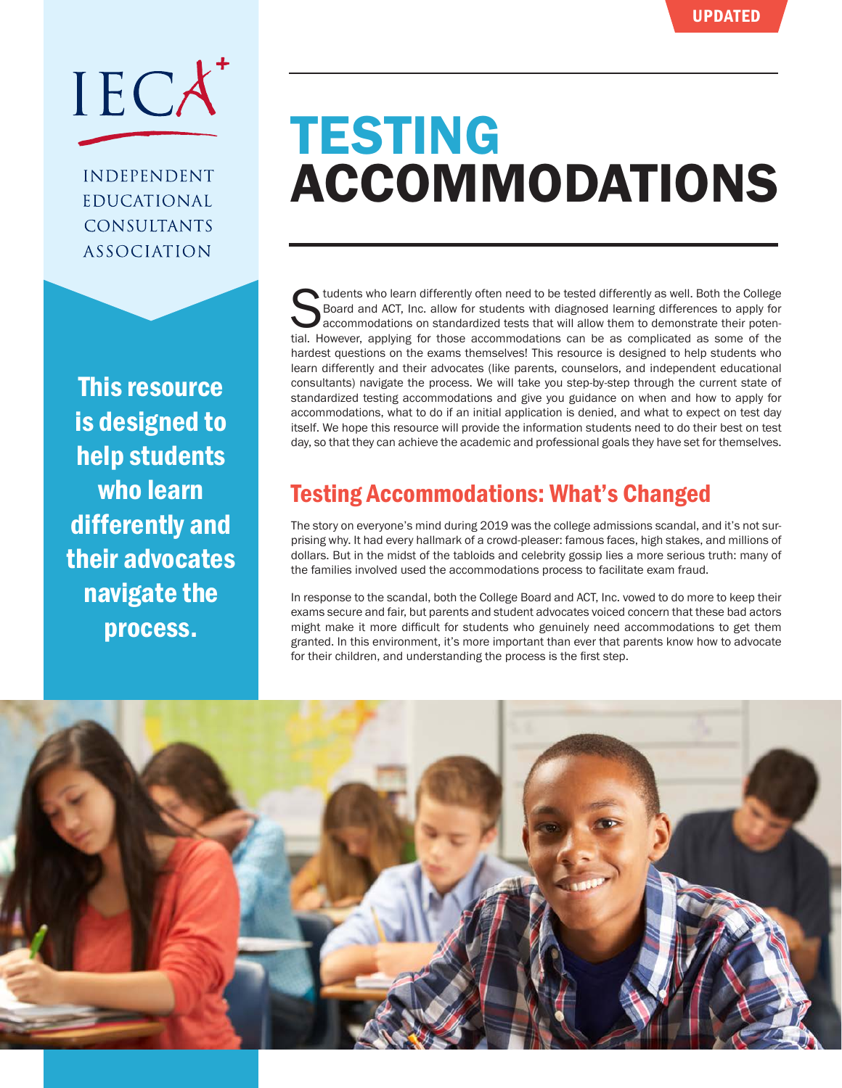

**INDEPENDENT EDUCATIONAL CONSULTANTS ASSOCIATION** 

This resource is designed to help students who learn differently and their advocates navigate the process.

# **TESTING** ACCOMMODATIONS

Students who learn differently often need to be tested differently as well. Both the College Board and ACT, Inc. allow for students with diagnosed learning differences to apply for accommodations on standardized tests that Board and ACT, Inc. allow for students with diagnosed learning differences to apply for accommodations on standardized tests that will allow them to demonstrate their potential. However, applying for those accommodations can be as complicated as some of the hardest questions on the exams themselves! This resource is designed to help students who learn differently and their advocates (like parents, counselors, and independent educational consultants) navigate the process. We will take you step-by-step through the current state of standardized testing accommodations and give you guidance on when and how to apply for accommodations, what to do if an initial application is denied, and what to expect on test day itself. We hope this resource will provide the information students need to do their best on test day, so that they can achieve the academic and professional goals they have set for themselves.

## Testing Accommodations: What's Changed

The story on everyone's mind during 2019 was the college admissions scandal, and it's not surprising why. It had every hallmark of a crowd-pleaser: famous faces, high stakes, and millions of dollars. But in the midst of the tabloids and celebrity gossip lies a more serious truth: many of the families involved used the accommodations process to facilitate exam fraud.

In response to the scandal, both the College Board and ACT, Inc. vowed to do more to keep their exams secure and fair, but parents and student advocates voiced concern that these bad actors might make it more difficult for students who genuinely need accommodations to get them granted. In this environment, it's more important than ever that parents know how to advocate for their children, and understanding the process is the first step.

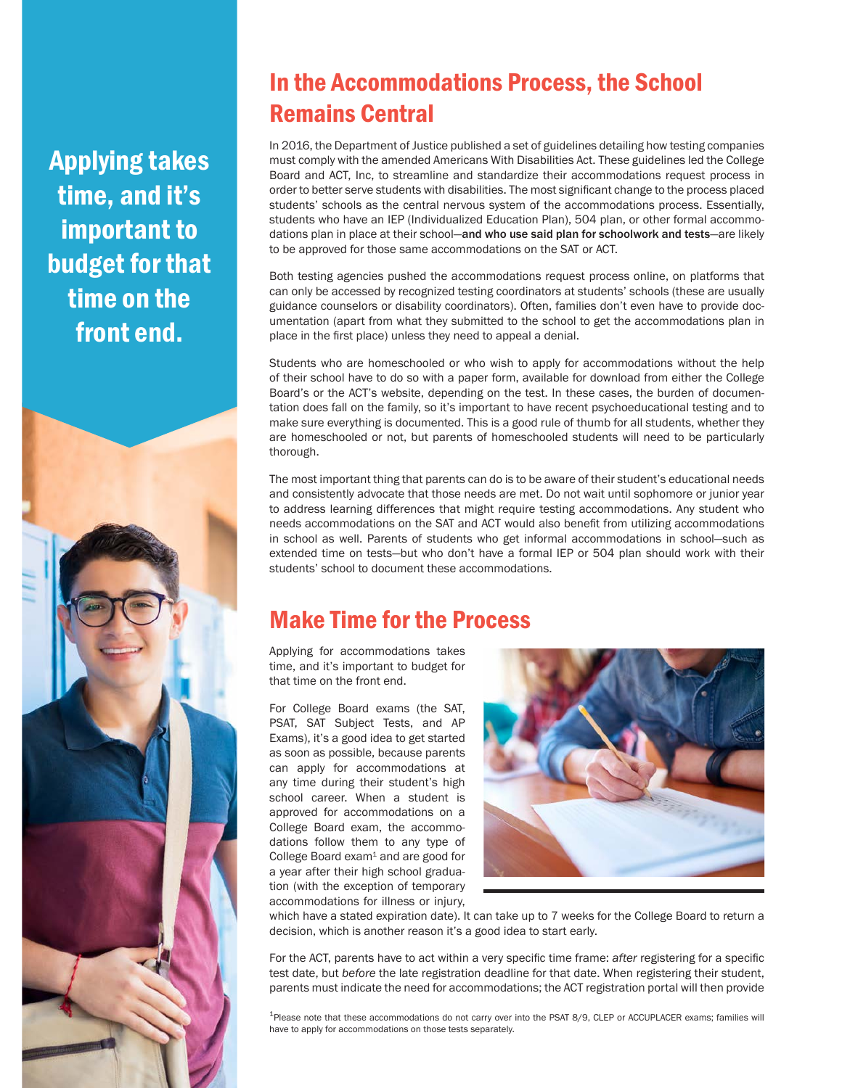Applying takes time, and it's important to budget for that time on the front end.



## In the Accommodations Process, the School Remains Central

In 2016, the Department of Justice published a set of guidelines detailing how testing companies must comply with the amended Americans With Disabilities Act. These guidelines led the College Board and ACT, Inc, to streamline and standardize their accommodations request process in order to better serve students with disabilities. The most significant change to the process placed students' schools as the central nervous system of the accommodations process. Essentially, students who have an IEP (Individualized Education Plan), 504 plan, or other formal accommodations plan in place at their school—and who use said plan for schoolwork and tests—are likely to be approved for those same accommodations on the SAT or ACT.

Both testing agencies pushed the accommodations request process online, on platforms that can only be accessed by recognized testing coordinators at students' schools (these are usually guidance counselors or disability coordinators). Often, families don't even have to provide documentation (apart from what they submitted to the school to get the accommodations plan in place in the first place) unless they need to appeal a denial.

Students who are homeschooled or who wish to apply for accommodations without the help of their school have to do so with a paper form, available for download from either the College Board's or the ACT's website, depending on the test. In these cases, the burden of documentation does fall on the family, so it's important to have recent psychoeducational testing and to make sure everything is documented. This is a good rule of thumb for all students, whether they are homeschooled or not, but parents of homeschooled students will need to be particularly thorough.

The most important thing that parents can do is to be aware of their student's educational needs and consistently advocate that those needs are met. Do not wait until sophomore or junior year to address learning differences that might require testing accommodations. Any student who needs accommodations on the SAT and ACT would also benefit from utilizing accommodations in school as well. Parents of students who get informal accommodations in school—such as extended time on tests—but who don't have a formal IEP or 504 plan should work with their students' school to document these accommodations.

### Make Time for the Process

Applying for accommodations takes time, and it's important to budget for that time on the front end.

For College Board exams (the SAT, PSAT, SAT Subject Tests, and AP Exams), it's a good idea to get started as soon as possible, because parents can apply for accommodations at any time during their student's high school career. When a student is approved for accommodations on a College Board exam, the accommodations follow them to any type of College Board  $exam<sup>1</sup>$  and are good for a year after their high school graduation (with the exception of temporary accommodations for illness or injury,



which have a stated expiration date). It can take up to 7 weeks for the College Board to return a decision, which is another reason it's a good idea to start early.

For the ACT, parents have to act within a very specific time frame: *after* registering for a specific test date, but *before* the late registration deadline for that date. When registering their student, parents must indicate the need for accommodations; the ACT registration portal will then provide

1Please note that these accommodations do not carry over into the PSAT 8/9, CLEP or ACCUPLACER exams; families will have to apply for accommodations on those tests separately.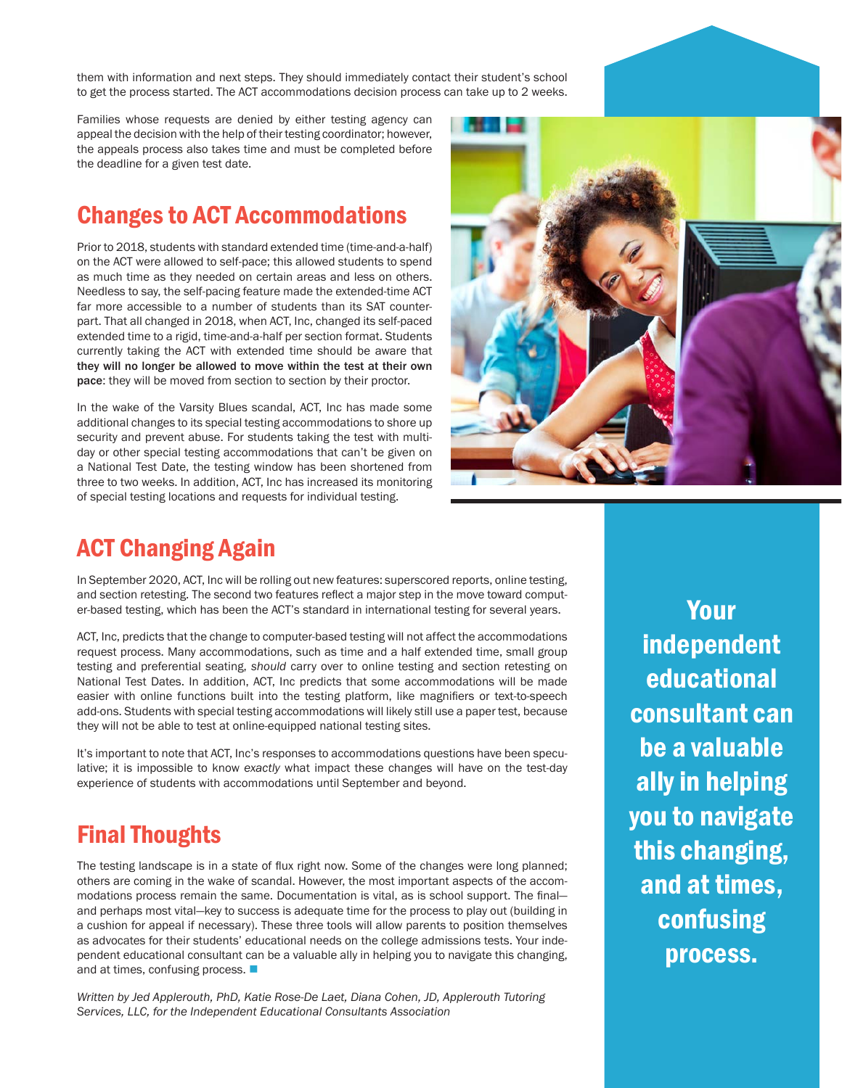them with information and next steps. They should immediately contact their student's school to get the process started. The ACT accommodations decision process can take up to 2 weeks.

Families whose requests are denied by either testing agency can appeal the decision with the help of their testing coordinator; however, the appeals process also takes time and must be completed before the deadline for a given test date.

#### Changes to ACT Accommodations

Prior to 2018, students with standard extended time (time-and-a-half) on the ACT were allowed to self-pace; this allowed students to spend as much time as they needed on certain areas and less on others. Needless to say, the self-pacing feature made the extended-time ACT far more accessible to a number of students than its SAT counterpart. That all changed in 2018, when ACT, Inc, changed its self-paced extended time to a rigid, time-and-a-half per section format. Students currently taking the ACT with extended time should be aware that they will no longer be allowed to move within the test at their own pace: they will be moved from section to section by their proctor.

In the wake of the Varsity Blues scandal, ACT, Inc has made some additional changes to its special testing accommodations to shore up security and prevent abuse. For students taking the test with multiday or other special testing accommodations that can't be given on a National Test Date, the testing window has been shortened from three to two weeks. In addition, ACT, Inc has increased its monitoring of special testing locations and requests for individual testing.



#### ACT Changing Again

In September 2020, ACT, Inc will be rolling out new features: superscored reports, online testing, and section retesting. The second two features reflect a major step in the move toward computer-based testing, which has been the ACT's standard in international testing for several years.

ACT, Inc, predicts that the change to computer-based testing will not affect the accommodations request process. Many accommodations, such as time and a half extended time, small group testing and preferential seating, *should* carry over to online testing and section retesting on National Test Dates. In addition, ACT, Inc predicts that some accommodations will be made easier with online functions built into the testing platform, like magnifiers or text-to-speech add-ons. Students with special testing accommodations will likely still use a paper test, because they will not be able to test at online-equipped national testing sites.

It's important to note that ACT, Inc's responses to accommodations questions have been speculative; it is impossible to know *exactly* what impact these changes will have on the test-day experience of students with accommodations until September and beyond.

#### Final Thoughts

The testing landscape is in a state of flux right now. Some of the changes were long planned; others are coming in the wake of scandal. However, the most important aspects of the accommodations process remain the same. Documentation is vital, as is school support. The final and perhaps most vital—key to success is adequate time for the process to play out (building in a cushion for appeal if necessary). These three tools will allow parents to position themselves as advocates for their students' educational needs on the college admissions tests. Your independent educational consultant can be a valuable ally in helping you to navigate this changing, and at times, confusing process.  $\blacksquare$ 

*Written by Jed Applerouth, PhD, Katie Rose-De Laet, Diana Cohen, JD, Applerouth Tutoring Services, LLC, for the Independent Educational Consultants Association*

Your independent educational consultant can be a valuable ally in helping you to navigate this changing, and at times, confusing process.